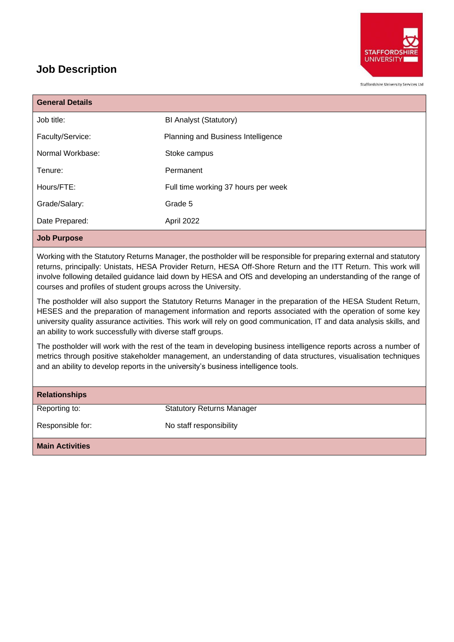

Staffordshire University Services Ltd

## **Job Description**

| <b>General Details</b>                                                                                              |                                     |  |
|---------------------------------------------------------------------------------------------------------------------|-------------------------------------|--|
| Job title:                                                                                                          | <b>BI Analyst (Statutory)</b>       |  |
| Faculty/Service:                                                                                                    | Planning and Business Intelligence  |  |
| Normal Workbase:                                                                                                    | Stoke campus                        |  |
| Tenure:                                                                                                             | Permanent                           |  |
| Hours/FTE:                                                                                                          | Full time working 37 hours per week |  |
| Grade/Salary:                                                                                                       | Grade 5                             |  |
| Date Prepared:                                                                                                      | April 2022                          |  |
| <b>Job Purpose</b>                                                                                                  |                                     |  |
| Working with the Statutory Returns Manager, the postholder will be responsible for preparing external and statutory |                                     |  |

Working with the Statutory Returns Manager, the postholder will be responsible for preparing external and statutory returns, principally: Unistats, HESA Provider Return, HESA Off-Shore Return and the ITT Return. This work will involve following detailed guidance laid down by HESA and OfS and developing an understanding of the range of courses and profiles of student groups across the University.

The postholder will also support the Statutory Returns Manager in the preparation of the HESA Student Return, HESES and the preparation of management information and reports associated with the operation of some key university quality assurance activities. This work will rely on good communication, IT and data analysis skills, and an ability to work successfully with diverse staff groups.

The postholder will work with the rest of the team in developing business intelligence reports across a number of metrics through positive stakeholder management, an understanding of data structures, visualisation techniques and an ability to develop reports in the university's business intelligence tools.

| <b>Relationships</b>   |                                  |
|------------------------|----------------------------------|
| Reporting to:          | <b>Statutory Returns Manager</b> |
| Responsible for:       | No staff responsibility          |
| <b>Main Activities</b> |                                  |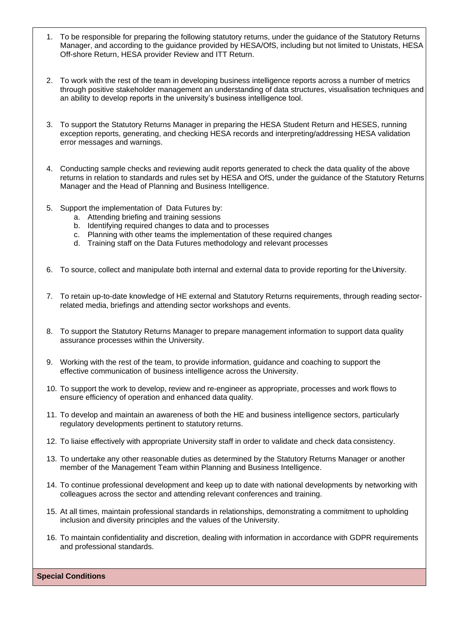- 1. To be responsible for preparing the following statutory returns, under the guidance of the Statutory Returns Manager, and according to the guidance provided by HESA/OfS, including but not limited to Unistats, HESA Off-shore Return, HESA provider Review and ITT Return.
- 2. To work with the rest of the team in developing business intelligence reports across a number of metrics through positive stakeholder management an understanding of data structures, visualisation techniques and an ability to develop reports in the university's business intelligence tool.
- 3. To support the Statutory Returns Manager in preparing the HESA Student Return and HESES, running exception reports, generating, and checking HESA records and interpreting/addressing HESA validation error messages and warnings.
- 4. Conducting sample checks and reviewing audit reports generated to check the data quality of the above returns in relation to standards and rules set by HESA and OfS, under the guidance of the Statutory Returns Manager and the Head of Planning and Business Intelligence.
- 5. Support the implementation of Data Futures by:
	- a. Attending briefing and training sessions
	- b. Identifying required changes to data and to processes
	- c. Planning with other teams the implementation of these required changes
	- d. Training staff on the Data Futures methodology and relevant processes
- 6. To source, collect and manipulate both internal and external data to provide reporting for the University.
- 7. To retain up-to-date knowledge of HE external and Statutory Returns requirements, through reading sectorrelated media, briefings and attending sector workshops and events.
- 8. To support the Statutory Returns Manager to prepare management information to support data quality assurance processes within the University.
- 9. Working with the rest of the team, to provide information, guidance and coaching to support the effective communication of business intelligence across the University.
- 10. To support the work to develop, review and re-engineer as appropriate, processes and work flows to ensure efficiency of operation and enhanced data quality.
- 11. To develop and maintain an awareness of both the HE and business intelligence sectors, particularly regulatory developments pertinent to statutory returns.
- 12. To liaise effectively with appropriate University staff in order to validate and check data consistency.
- 13. To undertake any other reasonable duties as determined by the Statutory Returns Manager or another member of the Management Team within Planning and Business Intelligence.
- 14. To continue professional development and keep up to date with national developments by networking with colleagues across the sector and attending relevant conferences and training.
- 15. At all times, maintain professional standards in relationships, demonstrating a commitment to upholding inclusion and diversity principles and the values of the University.
- 16. To maintain confidentiality and discretion, dealing with information in accordance with GDPR requirements and professional standards.

**Special Conditions**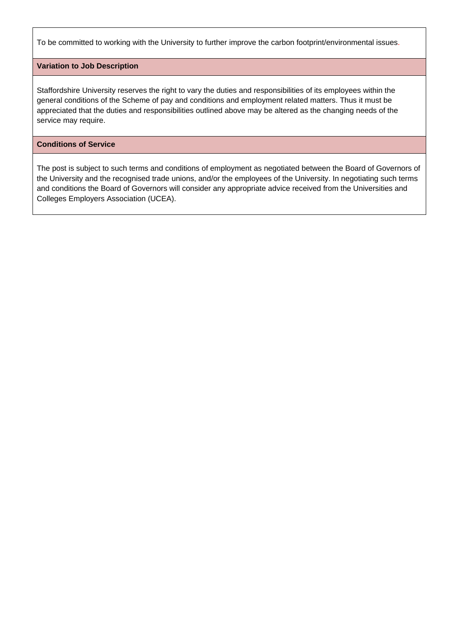To be committed to working with the University to further improve the carbon footprint/environmental issues.

#### **Variation to Job Description**

Staffordshire University reserves the right to vary the duties and responsibilities of its employees within the general conditions of the Scheme of pay and conditions and employment related matters. Thus it must be appreciated that the duties and responsibilities outlined above may be altered as the changing needs of the service may require.

#### **Conditions of Service**

The post is subject to such terms and conditions of employment as negotiated between the Board of Governors of the University and the recognised trade unions, and/or the employees of the University. In negotiating such terms and conditions the Board of Governors will consider any appropriate advice received from the Universities and Colleges Employers Association (UCEA).